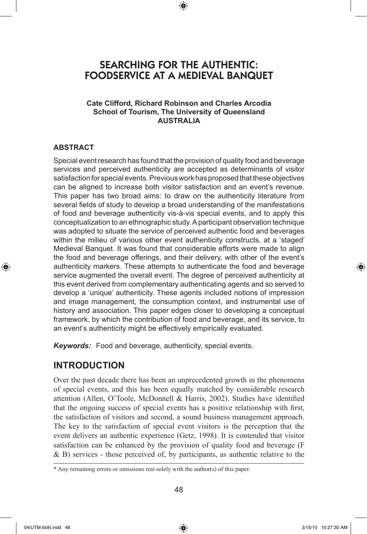# SEARCHING FOR THE AUTHENTIC: FOODSERVICE AT A MEDIEVAL BANQUET

⊕

#### **Cate Clifford, Richard Robinson and Charles Arcodia School of Tourism, The University of Queensland AUSTRALIA**

#### **ABSTRACT**

⊕

Special event research has found that the provision of quality food and beverage services and perceived authenticity are accepted as determinants of visitor satisfaction for special events. Previous work has proposed that these objectives can be aligned to increase both visitor satisfaction and an event's revenue. This paper has two broad aims: to draw on the authenticity literature from several fields of study to develop a broad understanding of the manifestations of food and beverage authenticity vis-à-vis special events, and to apply this conceptualization to an ethnographic study. A participant observation technique was adopted to situate the service of perceived authentic food and beverages within the milieu of various other event authenticity constructs, at a 'staged' Medieval Banquet. It was found that considerable efforts were made to align the food and beverage offerings, and their delivery, with other of the event's authenticity markers. These attempts to authenticate the food and beverage service augmented the overall event. The degree of perceived authenticity at this event derived from complementary authenticating agents and so served to develop a 'unique' authenticity. These agents included notions of impression and image management, the consumption context, and instrumental use of history and association. This paper edges closer to developing a conceptual framework, by which the contribution of food and beverage, and its service, to an event's authenticity might be effectively empirically evaluated.

*Keywords:* Food and beverage, authenticity, special events.

## **INTRODUCTION**

Over the past decade there has been an unprecedented growth in the phenomena of special events, and this has been equally matched by considerable research attention (Allen, O'Toole, McDonnell & Harris, 2002). Studies have identified that the ongoing success of special events has a positive relationship with first, the satisfaction of visitors and second, a sound business management approach. The key to the satisfaction of special event visitors is the perception that the event delivers an authentic experience (Getz, 1998). It is contended that visitor satisfaction can be enhanced by the provision of quality food and beverage (F & B) services - those perceived of, by participants, as authentic relative to the

<sup>\*</sup> Any remaining errors or omissions rest solely with the author(s) of this paper.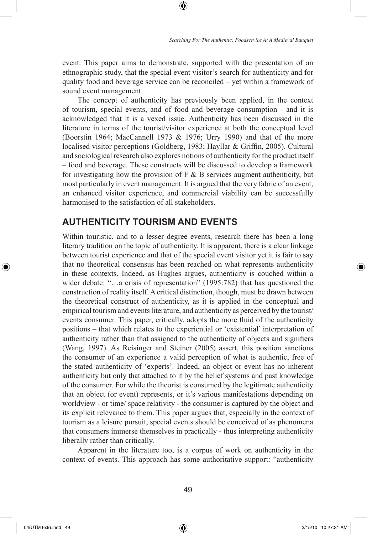event. This paper aims to demonstrate, supported with the presentation of an ethnographic study, that the special event visitor's search for authenticity and for quality food and beverage service can be reconciled – yet within a framework of sound event management.

⊕

The concept of authenticity has previously been applied, in the context of tourism, special events, and of food and beverage consumption - and it is acknowledged that it is a vexed issue. Authenticity has been discussed in the literature in terms of the tourist/visitor experience at both the conceptual level (Boorstin 1964; MacCannell 1973 & 1976; Urry 1990) and that of the more localised visitor perceptions (Goldberg, 1983; Hayllar & Griffin, 2005). Cultural and sociological research also explores notions of authenticity for the product itself – food and beverage. These constructs will be discussed to develop a framework for investigating how the provision of  $F \& B$  services augment authenticity, but most particularly in event management. It is argued that the very fabric of an event, an enhanced visitor experience, and commercial viability can be successfully harmonised to the satisfaction of all stakeholders.

# **AUTHENTICITY TOURISM AND EVENTS**

Within touristic, and to a lesser degree events, research there has been a long literary tradition on the topic of authenticity. It is apparent, there is a clear linkage between tourist experience and that of the special event visitor yet it is fair to say that no theoretical consensus has been reached on what represents authenticity in these contexts. Indeed, as Hughes argues, authenticity is couched within a wider debate: "...a crisis of representation" (1995:782) that has questioned the construction of reality itself. A critical distinction, though, must be drawn between the theoretical construct of authenticity, as it is applied in the conceptual and empirical tourism and events literature, and authenticity as perceived by the tourist/ events consumer. This paper, critically, adopts the more fluid of the authenticity positions – that which relates to the experiential or 'existential' interpretation of authenticity rather than that assigned to the authenticity of objects and signifiers (Wang, 1997). As Reisinger and Steiner (2005) assert, this position sanctions the consumer of an experience a valid perception of what is authentic, free of the stated authenticity of 'experts'. Indeed, an object or event has no inherent authenticity but only that attached to it by the belief systems and past knowledge of the consumer. For while the theorist is consumed by the legitimate authenticity that an object (or event) represents, or it's various manifestations depending on worldview - or time/ space relativity - the consumer is captured by the object and its explicit relevance to them. This paper argues that, especially in the context of tourism as a leisure pursuit, special events should be conceived of as phenomena that consumers immerse themselves in practically - thus interpreting authenticity liberally rather than critically.

Apparent in the literature too, is a corpus of work on authenticity in the context of events. This approach has some authoritative support: "authenticity

⊕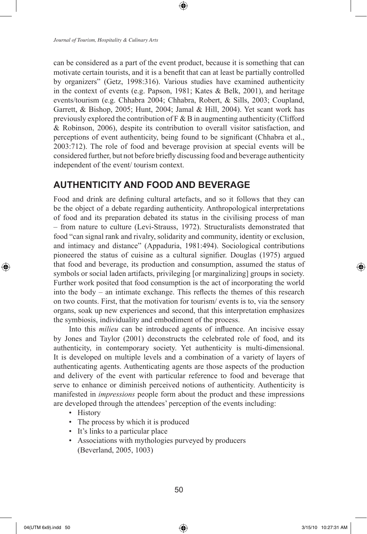can be considered as a part of the event product, because it is something that can motivate certain tourists, and it is a benefit that can at least be partially controlled by organizers" (Getz, 1998:316). Various studies have examined authenticity in the context of events (e.g. Papson, 1981; Kates & Belk, 2001), and heritage events/tourism (e.g. Chhabra 2004; Chhabra, Robert, & Sills, 2003; Coupland, Garrett, & Bishop, 2005; Hunt, 2004; Jamal & Hill, 2004). Yet scant work has previously explored the contribution of  $F \& B$  in augmenting authenticity (Clifford & Robinson, 2006), despite its contribution to overall visitor satisfaction, and perceptions of event authenticity, being found to be significant (Chhabra et al., 2003:712). The role of food and beverage provision at special events will be considered further, but not before briefly discussing food and beverage authenticity independent of the event/ tourism context.

⊕

## **AUTHENTICITY AND FOOD AND BEVERAGE**

Food and drink are defining cultural artefacts, and so it follows that they can be the object of a debate regarding authenticity. Anthropological interpretations of food and its preparation debated its status in the civilising process of man – from nature to culture (Levi-Strauss, 1972). Structuralists demonstrated that food "can signal rank and rivalry, solidarity and community, identity or exclusion, and intimacy and distance" (Appaduria, 1981:494). Sociological contributions pioneered the status of cuisine as a cultural signifier. Douglas (1975) argued that food and beverage, its production and consumption, assumed the status of symbols or social laden artifacts, privileging [or marginalizing] groups in society. Further work posited that food consumption is the act of incorporating the world into the body – an intimate exchange. This reflects the themes of this research on two counts. First, that the motivation for tourism/ events is to, via the sensory organs, soak up new experiences and second, that this interpretation emphasizes the symbiosis, individuality and embodiment of the process.

Into this *milieu* can be introduced agents of influence. An incisive essay by Jones and Taylor (2001) deconstructs the celebrated role of food, and its authenticity, in contemporary society. Yet authenticity is multi-dimensional. It is developed on multiple levels and a combination of a variety of layers of authenticating agents. Authenticating agents are those aspects of the production and delivery of the event with particular reference to food and beverage that serve to enhance or diminish perceived notions of authenticity. Authenticity is manifested in *impressions* people form about the product and these impressions are developed through the attendees' perception of the events including:

- History
- The process by which it is produced
- It's links to a particular place
- Associations with mythologies purveyed by producers (Beverland, 2005, 1003)

⊕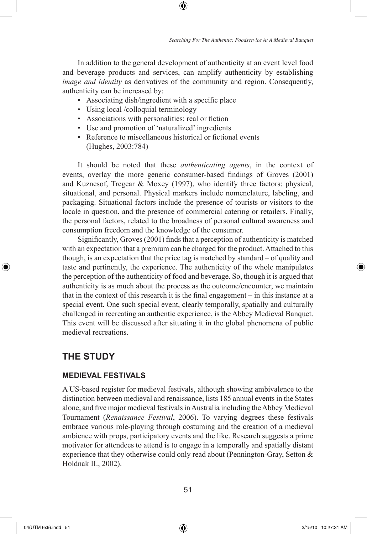In addition to the general development of authenticity at an event level food and beverage products and services, can amplify authenticity by establishing *image and identity* as derivatives of the community and region. Consequently, authenticity can be increased by:

⊕

- Associating dish/ingredient with a specific place
- Using local /colloquial terminology
- Associations with personalities: real or fiction
- Use and promotion of 'naturalized' ingredients
- Reference to miscellaneous historical or fictional events (Hughes, 2003:784)

It should be noted that these *authenticating agents*, in the context of events, overlay the more generic consumer-based findings of Groves (2001) and Kuznesof, Tregear & Moxey (1997), who identify three factors: physical, situational, and personal. Physical markers include nomenclature, labeling, and packaging. Situational factors include the presence of tourists or visitors to the locale in question, and the presence of commercial catering or retailers. Finally, the personal factors, related to the broadness of personal cultural awareness and consumption freedom and the knowledge of the consumer.

Significantly, Groves (2001) finds that a perception of authenticity is matched with an expectation that a premium can be charged for the product. Attached to this though, is an expectation that the price tag is matched by standard – of quality and taste and pertinently, the experience. The authenticity of the whole manipulates the perception of the authenticity of food and beverage. So, though it is argued that authenticity is as much about the process as the outcome/encounter, we maintain that in the context of this research it is the final engagement – in this instance at a special event. One such special event, clearly temporally, spatially and culturally challenged in recreating an authentic experience, is the Abbey Medieval Banquet. This event will be discussed after situating it in the global phenomena of public medieval recreations.

### **THE STUDY**

#### **Medieval Festivals**

A US-based register for medieval festivals, although showing ambivalence to the distinction between medieval and renaissance, lists 185 annual events in the States alone, and five major medieval festivals in Australia including the Abbey Medieval Tournament (*Renaissance Festival*, 2006). To varying degrees these festivals embrace various role-playing through costuming and the creation of a medieval ambience with props, participatory events and the like. Research suggests a prime motivator for attendees to attend is to engage in a temporally and spatially distant experience that they otherwise could only read about (Pennington-Gray, Setton & Holdnak II., 2002).

⊕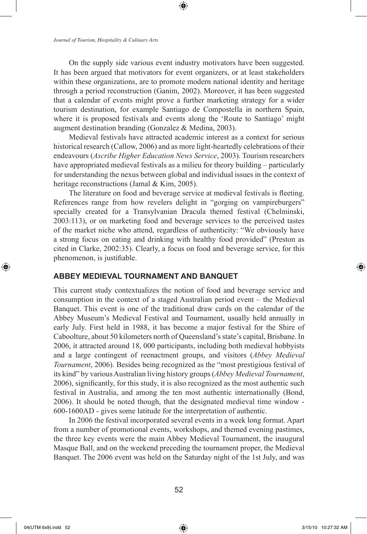On the supply side various event industry motivators have been suggested. It has been argued that motivators for event organizers, or at least stakeholders within these organizations, are to promote modern national identity and heritage through a period reconstruction (Ganim, 2002). Moreover, it has been suggested that a calendar of events might prove a further marketing strategy for a wider tourism destination, for example Santiago de Compostella in northern Spain, where it is proposed festivals and events along the 'Route to Santiago' might augment destination branding (Gonzalez & Medina, 2003).

Medieval festivals have attracted academic interest as a context for serious historical research (Callow, 2006) and as more light-heartedly celebrations of their endeavours (*Ascribe Higher Education News Service*, 2003). Tourism researchers have appropriated medieval festivals as a milieu for theory building – particularly for understanding the nexus between global and individual issues in the context of heritage reconstructions (Jamal & Kim, 2005).

The literature on food and beverage service at medieval festivals is fleeting. References range from how revelers delight in "gorging on vampireburgers" specially created for a Transylvanian Dracula themed festival (Chelminski, 2003:113), or on marketing food and beverage services to the perceived tastes of the market niche who attend, regardless of authenticity: "We obviously have a strong focus on eating and drinking with healthy food provided" (Preston as cited in Clarke, 2002:35). Clearly, a focus on food and beverage service, for this phenomenon, is justifiable.

#### **ABBEY MEDIEVAL TOURNAMENT AND BANQUET**

This current study contextualizes the notion of food and beverage service and consumption in the context of a staged Australian period event – the Medieval Banquet. This event is one of the traditional draw cards on the calendar of the Abbey Museum's Medieval Festival and Tournament, usually held annually in early July. First held in 1988, it has become a major festival for the Shire of Caboolture, about 50 kilometers north of Queensland's state's capital, Brisbane. In 2006, it attracted around 18, 000 participants, including both medieval hobbyists and a large contingent of reenactment groups, and visitors (*Abbey Medieval Tournament*, 2006). Besides being recognized as the "most prestigious festival of its kind" by various Australian living history groups (*Abbey Medieval Tournament*, 2006), significantly, for this study, it is also recognized as the most authentic such festival in Australia, and among the ten most authentic internationally (Bond, 2006). It should be noted though, that the designated medieval time window - 600-1600AD - gives some latitude for the interpretation of authentic.

In 2006 the festival incorporated several events in a week long format. Apart from a number of promotional events, workshops, and themed evening pastimes, the three key events were the main Abbey Medieval Tournament, the inaugural Masque Ball, and on the weekend preceding the tournament proper, the Medieval Banquet. The 2006 event was held on the Saturday night of the 1st July, and was

 $\bigoplus$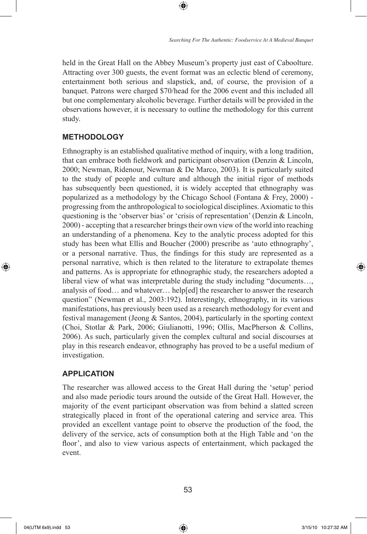held in the Great Hall on the Abbey Museum's property just east of Caboolture. Attracting over 300 guests, the event format was an eclectic blend of ceremony, entertainment both serious and slapstick, and, of course, the provision of a banquet. Patrons were charged \$70/head for the 2006 event and this included all but one complementary alcoholic beverage. Further details will be provided in the observations however, it is necessary to outline the methodology for this current study.

⊕

### **METHODOLOGY**

Ethnography is an established qualitative method of inquiry, with a long tradition, that can embrace both fieldwork and participant observation (Denzin & Lincoln, 2000; Newman, Ridenour, Newman & De Marco, 2003). It is particularly suited to the study of people and culture and although the initial rigor of methods has subsequently been questioned, it is widely accepted that ethnography was popularized as a methodology by the Chicago School (Fontana & Frey, 2000) progressing from the anthropological to sociological disciplines. Axiomatic to this questioning is the 'observer bias' or 'crisis of representation' (Denzin & Lincoln, 2000) - accepting that a researcher brings their own view of the world into reaching an understanding of a phenomena. Key to the analytic process adopted for this study has been what Ellis and Boucher (2000) prescribe as 'auto ethnography', or a personal narrative. Thus, the findings for this study are represented as a personal narrative, which is then related to the literature to extrapolate themes and patterns. As is appropriate for ethnographic study, the researchers adopted a liberal view of what was interpretable during the study including "documents…, analysis of food… and whatever… help[ed] the researcher to answer the research question" (Newman et al., 2003:192). Interestingly, ethnography, in its various manifestations, has previously been used as a research methodology for event and festival management (Jeong & Santos, 2004), particularly in the sporting context (Choi, Stotlar & Park, 2006; Giulianotti, 1996; Ollis, MacPherson & Collins, 2006). As such, particularly given the complex cultural and social discourses at play in this research endeavor, ethnography has proved to be a useful medium of investigation.

#### **APPLICATION**

The researcher was allowed access to the Great Hall during the 'setup' period and also made periodic tours around the outside of the Great Hall. However, the majority of the event participant observation was from behind a slatted screen strategically placed in front of the operational catering and service area. This provided an excellent vantage point to observe the production of the food, the delivery of the service, acts of consumption both at the High Table and 'on the floor', and also to view various aspects of entertainment, which packaged the event.

⊕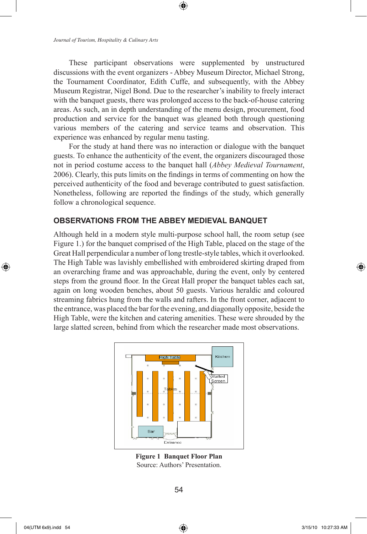These participant observations were supplemented by unstructured discussions with the event organizers - Abbey Museum Director, Michael Strong, the Tournament Coordinator, Edith Cuffe, and subsequently, with the Abbey Museum Registrar, Nigel Bond. Due to the researcher's inability to freely interact with the banquet guests, there was prolonged access to the back-of-house catering areas. As such, an in depth understanding of the menu design, procurement, food production and service for the banquet was gleaned both through questioning various members of the catering and service teams and observation. This experience was enhanced by regular menu tasting.

⊕

For the study at hand there was no interaction or dialogue with the banquet guests. To enhance the authenticity of the event, the organizers discouraged those not in period costume access to the banquet hall (*Abbey Medieval Tournament*, 2006). Clearly, this puts limits on the findings in terms of commenting on how the perceived authenticity of the food and beverage contributed to guest satisfaction. Nonetheless, following are reported the findings of the study, which generally follow a chronological sequence.

#### **OBSERVATIONS FROM THE ABBEY MEDIEVAL BANQUET**

Although held in a modern style multi-purpose school hall, the room setup (see Figure 1.) for the banquet comprised of the High Table, placed on the stage of the Great Hall perpendicular a number of long trestle-style tables, which it overlooked. The High Table was lavishly embellished with embroidered skirting draped from an overarching frame and was approachable, during the event, only by centered steps from the ground floor. In the Great Hall proper the banquet tables each sat, again on long wooden benches, about 50 guests. Various heraldic and coloured streaming fabrics hung from the walls and rafters. In the front corner, adjacent to the entrance, was placed the bar for the evening, and diagonally opposite, beside the High Table, were the kitchen and catering amenities. These were shrouded by the large slatted screen, behind from which the researcher made most observations.



**Figure 1 Banquet Floor Plan** Source: Authors' Presentation.

⊕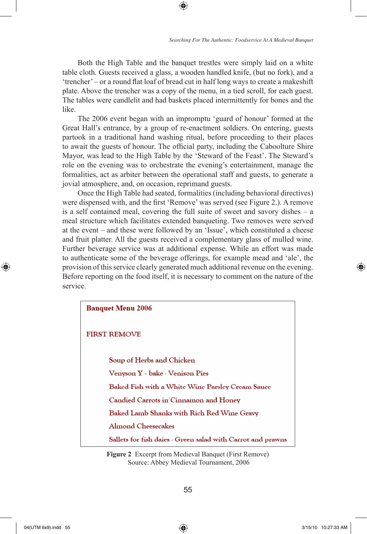Both the High Table and the banquet trestles were simply laid on a white table cloth. Guests received a glass, a wooden handled knife, (but no fork), and a 'trencher' – or a round flat loaf of bread cut in half long ways to create a makeshift plate. Above the trencher was a copy of the menu, in a tied scroll, for each guest. The tables were candlelit and had baskets placed intermittently for bones and the like.

⊕

The 2006 event began with an impromptu 'guard of honour' formed at the Great Hall's entrance, by a group of re-enactment soldiers. On entering, guests partook in a traditional hand washing ritual, before proceeding to their places to await the guests of honour. The official party, including the Caboolture Shire Mayor, was lead to the High Table by the 'Steward of the Feast'. The Steward's role on the evening was to orchestrate the evening's entertainment, manage the formalities, act as arbiter between the operational staff and guests, to generate a jovial atmosphere, and, on occasion, reprimand guests.

Once the High Table had seated, formalities (including behavioral directives) were dispensed with, and the first 'Remove' was served (see Figure 2.). A remove is a self contained meal, covering the full suite of sweet and savory dishes – a meal structure which facilitates extended banqueting. Two removes were served at the event – and these were followed by an 'Issue', which constituted a cheese and fruit platter. All the guests received a complementary glass of mulled wine. Further beverage service was at additional expense. While an effort was made to authenticate some of the beverage offerings, for example mead and 'ale', the provision of this service clearly generated much additional revenue on the evening. Before reporting on the food itself, it is necessary to comment on the nature of the service.

| <b>Banquet Menu 2006</b>                                    |
|-------------------------------------------------------------|
| <b>FIRST REMOVE</b>                                         |
| Soup of Herbs and Chicken                                   |
| Venyson Y - bake - Venison Pies                             |
| Baked Fish with a White Wine Parsley Cream Sauce            |
| Candied Carrots in Cinnamon and Honey                       |
| Baked Lamb Shanks with Rich Red Wine Gravy                  |
| Almond Cheesecakes                                          |
| Sallets for fish daies - Green salad with Carrot and prawns |

**Figure 2** Excerpt from Medieval Banquet (First Remove) Source: Abbey Medieval Tournament, 2006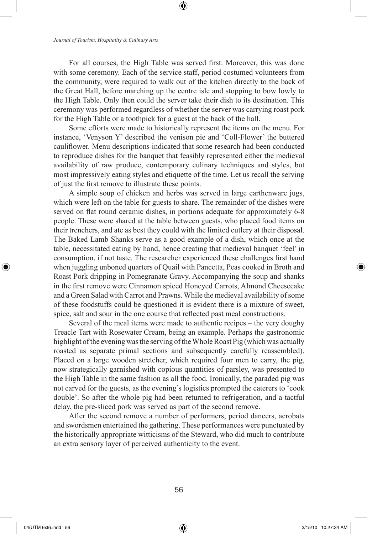For all courses, the High Table was served first. Moreover, this was done with some ceremony. Each of the service staff, period costumed volunteers from the community, were required to walk out of the kitchen directly to the back of the Great Hall, before marching up the centre isle and stopping to bow lowly to the High Table. Only then could the server take their dish to its destination. This ceremony was performed regardless of whether the server was carrying roast pork for the High Table or a toothpick for a guest at the back of the hall.

Some efforts were made to historically represent the items on the menu. For instance, 'Venyson Y' described the venison pie and 'Coll-Flower' the buttered cauliflower. Menu descriptions indicated that some research had been conducted to reproduce dishes for the banquet that feasibly represented either the medieval availability of raw produce, contemporary culinary techniques and styles, but most impressively eating styles and etiquette of the time. Let us recall the serving of just the first remove to illustrate these points.

A simple soup of chicken and herbs was served in large earthenware jugs, which were left on the table for guests to share. The remainder of the dishes were served on flat round ceramic dishes, in portions adequate for approximately 6-8 people. These were shared at the table between guests, who placed food items on their trenchers, and ate as best they could with the limited cutlery at their disposal. The Baked Lamb Shanks serve as a good example of a dish, which once at the table, necessitated eating by hand, hence creating that medieval banquet 'feel' in consumption, if not taste. The researcher experienced these challenges first hand when juggling unboned quarters of Quail with Pancetta, Peas cooked in Broth and Roast Pork dripping in Pomegranate Gravy. Accompanying the soup and shanks in the first remove were Cinnamon spiced Honeyed Carrots, Almond Cheesecake and a Green Salad with Carrot and Prawns. While the medieval availability of some of these foodstuffs could be questioned it is evident there is a mixture of sweet, spice, salt and sour in the one course that reflected past meal constructions.

Several of the meal items were made to authentic recipes – the very doughy Treacle Tart with Rosewater Cream, being an example. Perhaps the gastronomic highlight of the evening was the serving of the Whole Roast Pig (which was actually roasted as separate primal sections and subsequently carefully reassembled). Placed on a large wooden stretcher, which required four men to carry, the pig, now strategically garnished with copious quantities of parsley, was presented to the High Table in the same fashion as all the food. Ironically, the paraded pig was not carved for the guests, as the evening's logistics prompted the caterers to 'cook double'. So after the whole pig had been returned to refrigeration, and a tactful delay, the pre-sliced pork was served as part of the second remove.

After the second remove a number of performers, period dancers, acrobats and swordsmen entertained the gathering. These performances were punctuated by the historically appropriate witticisms of the Steward, who did much to contribute an extra sensory layer of perceived authenticity to the event.

 $\bigoplus$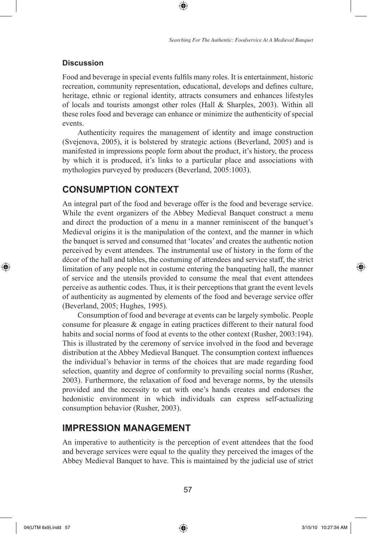#### **Discussion**

Food and beverage in special events fulfils many roles. It is entertainment, historic recreation, community representation, educational, develops and defines culture, heritage, ethnic or regional identity, attracts consumers and enhances lifestyles of locals and tourists amongst other roles (Hall & Sharples, 2003). Within all these roles food and beverage can enhance or minimize the authenticity of special events.

⊕

Authenticity requires the management of identity and image construction (Svejenova, 2005), it is bolstered by strategic actions (Beverland, 2005) and is manifested in impressions people form about the product, it's history, the process by which it is produced, it's links to a particular place and associations with mythologies purveyed by producers (Beverland, 2005:1003).

### **CONSUMPTION CONTEXT**

An integral part of the food and beverage offer is the food and beverage service. While the event organizers of the Abbey Medieval Banquet construct a menu and direct the production of a menu in a manner reminiscent of the banquet's Medieval origins it is the manipulation of the context, and the manner in which the banquet is served and consumed that 'locates' and creates the authentic notion perceived by event attendees. The instrumental use of history in the form of the décor of the hall and tables, the costuming of attendees and service staff, the strict limitation of any people not in costume entering the banqueting hall, the manner of service and the utensils provided to consume the meal that event attendees perceive as authentic codes. Thus, it is their perceptions that grant the event levels of authenticity as augmented by elements of the food and beverage service offer (Beverland, 2005; Hughes, 1995).

Consumption of food and beverage at events can be largely symbolic. People consume for pleasure & engage in eating practices different to their natural food habits and social norms of food at events to the other context (Rusher, 2003:194). This is illustrated by the ceremony of service involved in the food and beverage distribution at the Abbey Medieval Banquet. The consumption context influences the individual's behavior in terms of the choices that are made regarding food selection, quantity and degree of conformity to prevailing social norms (Rusher, 2003). Furthermore, the relaxation of food and beverage norms, by the utensils provided and the necessity to eat with one's hands creates and endorses the hedonistic environment in which individuals can express self-actualizing consumption behavior (Rusher, 2003).

### **IMPRESSION MANAGEMENT**

An imperative to authenticity is the perception of event attendees that the food and beverage services were equal to the quality they perceived the images of the Abbey Medieval Banquet to have. This is maintained by the judicial use of strict

 $\bigoplus$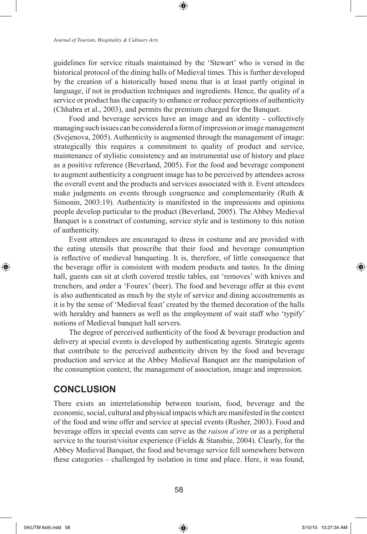guidelines for service rituals maintained by the 'Stewart' who is versed in the historical protocol of the dining halls of Medieval times. This is further developed by the creation of a historically based menu that is at least partly original in language, if not in production techniques and ingredients. Hence, the quality of a service or product has the capacity to enhance or reduce perceptions of authenticity (Chhabra et al., 2003), and permits the premium charged for the Banquet.

Food and beverage services have an image and an identity - collectively managing such issues can be considered a form of impression or image management (Svejenova, 2005). Authenticity is augmented through the management of image: strategically this requires a commitment to quality of product and service, maintenance of stylistic consistency and an instrumental use of history and place as a positive reference (Beverland, 2005). For the food and beverage component to augment authenticity a congruent image has to be perceived by attendees across the overall event and the products and services associated with it. Event attendees make judgments on events through congruence and complementarity (Ruth  $\&$ Simonin, 2003:19). Authenticity is manifested in the impressions and opinions people develop particular to the product (Beverland, 2005). The Abbey Medieval Banquet is a construct of costuming, service style and is testimony to this notion of authenticity.

Event attendees are encouraged to dress in costume and are provided with the eating utensils that proscribe that their food and beverage consumption is reflective of medieval banqueting. It is, therefore, of little consequence that the beverage offer is consistent with modern products and tastes. In the dining hall, guests can sit at cloth covered trestle tables, eat 'removes' with knives and trenchers, and order a 'Fourex' (beer). The food and beverage offer at this event is also authenticated as much by the style of service and dining accoutrements as it is by the sense of 'Medieval feast' created by the themed decoration of the halls with heraldry and banners as well as the employment of wait staff who 'typify' notions of Medieval banquet hall servers.

The degree of perceived authenticity of the food & beverage production and delivery at special events is developed by authenticating agents. Strategic agents that contribute to the perceived authenticity driven by the food and beverage production and service at the Abbey Medieval Banquet are the manipulation of the consumption context, the management of association, image and impression.

### **CONCLUSION**

There exists an interrelationship between tourism, food, beverage and the economic, social, cultural and physical impacts which are manifested in the context of the food and wine offer and service at special events (Rusher, 2003). Food and beverage offers in special events can serve as the *raison d'etre* or as a peripheral service to the tourist/visitor experience (Fields & Stansbie, 2004). Clearly, for the Abbey Medieval Banquet, the food and beverage service fell somewhere between these categories – challenged by isolation in time and place. Here, it was found,

⊕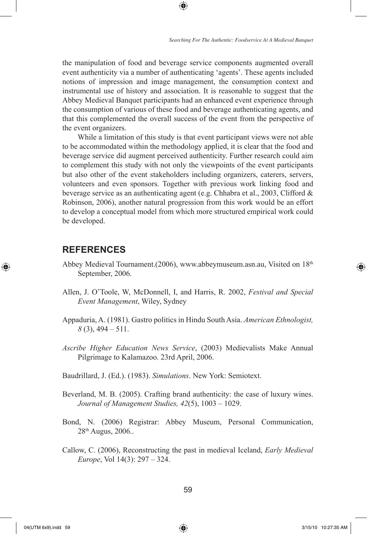the manipulation of food and beverage service components augmented overall event authenticity via a number of authenticating 'agents'. These agents included notions of impression and image management, the consumption context and instrumental use of history and association. It is reasonable to suggest that the Abbey Medieval Banquet participants had an enhanced event experience through the consumption of various of these food and beverage authenticating agents, and that this complemented the overall success of the event from the perspective of the event organizers.

⊕

While a limitation of this study is that event participant views were not able to be accommodated within the methodology applied, it is clear that the food and beverage service did augment perceived authenticity. Further research could aim to complement this study with not only the viewpoints of the event participants but also other of the event stakeholders including organizers, caterers, servers, volunteers and even sponsors. Together with previous work linking food and beverage service as an authenticating agent (e.g. Chhabra et al., 2003, Clifford  $\&$ Robinson, 2006), another natural progression from this work would be an effort to develop a conceptual model from which more structured empirical work could be developed.

### **REFERENCES**

⊕

- Abbey Medieval Tournament.(2006), www.abbeymuseum.asn.au, Visited on 18th September, 2006.
- Allen, J. O'Toole, W, McDonnell, I, and Harris, R. 2002, *Festival and Special Event Management*, Wiley, Sydney
- Appaduria, A. (1981). Gastro politics in Hindu South Asia. *American Ethnologist, 8* (3), 494 – 511.
- *Ascribe Higher Education News Service*, (2003) Medievalists Make Annual Pilgrimage to Kalamazoo. 23rd April, 2006.

Baudrillard, J. (Ed.). (1983). *Simulations*. New York: Semiotext.

- Beverland, M. B. (2005). Crafting brand authenticity: the case of luxury wines. *Journal of Management Studies, 42*(5), 1003 – 1029.
- Bond, N. (2006) Registrar: Abbey Museum, Personal Communication, 28th Augus, 2006..
- Callow, C. (2006), Reconstructing the past in medieval Iceland, *Early Medieval Europe*, Vol 14(3): 297 – 324.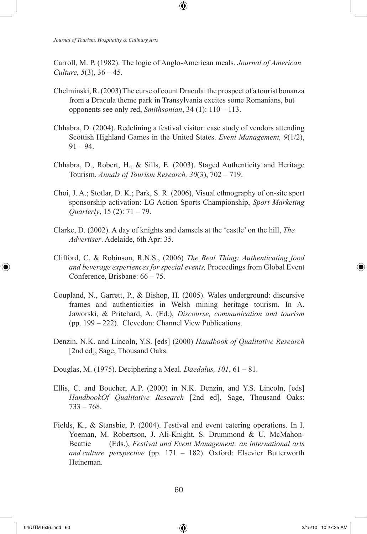Carroll, M. P. (1982). The logic of Anglo-American meals. *Journal of American Culture, 5*(3), 36 – 45.

⊕

- Chelminski, R. (2003) The curse of count Dracula: the prospect of a tourist bonanza from a Dracula theme park in Transylvania excites some Romanians, but opponents see only red, *Smithsonian*, 34 (1): 110 – 113.
- Chhabra, D. (2004). Redefining a festival visitor: case study of vendors attending Scottish Highland Games in the United States. *Event Management, 9*(1/2),  $91 - 94.$
- Chhabra, D., Robert, H., & Sills, E. (2003). Staged Authenticity and Heritage Tourism. *Annals of Tourism Research, 30*(3), 702 – 719.
- Choi, J. A.; Stotlar, D. K.; Park, S. R. (2006), Visual ethnography of on-site sport sponsorship activation: LG Action Sports Championship, *Sport Marketing Quarterly*, 15 (2): 71 – 79.
- Clarke, D. (2002). A day of knights and damsels at the 'castle' on the hill, *The Advertiser*. Adelaide, 6th Apr: 35.
- Clifford, C. & Robinson, R.N.S., (2006) *The Real Thing: Authenticating food and beverage experiences for special events,* Proceedings from Global Event Conference, Brisbane: 66 – 75.
- Coupland, N., Garrett, P., & Bishop, H. (2005). Wales underground: discursive frames and authenticities in Welsh mining heritage tourism. In A. Jaworski, & Pritchard, A. (Ed.), *Discourse, communication and tourism* (pp. 199 – 222). Clevedon: Channel View Publications.
- Denzin, N.K. and Lincoln, Y.S. [eds] (2000) *Handbook of Qualitative Research*  [2nd ed], Sage, Thousand Oaks.
- Douglas, M. (1975). Deciphering a Meal. *Daedalus, 101*, 61 81.
- Ellis, C. and Boucher, A.P. (2000) in N.K. Denzin, and Y.S. Lincoln, [eds] *HandbookOf Qualitative Research* [2nd ed], Sage, Thousand Oaks: 733 – 768.
- Fields, K., & Stansbie, P. (2004). Festival and event catering operations. In I. Yoeman, M. Robertson, J. Ali-Knight, S. Drummond & U. McMahon-Beattie (Eds.), *Festival and Event Management: an international arts and culture perspective* (pp. 171 – 182). Oxford: Elsevier Butterworth Heineman.

⊕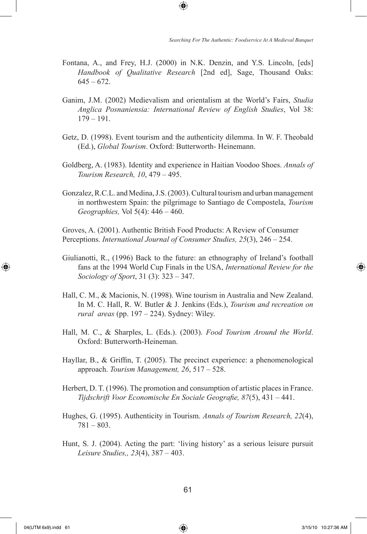Fontana, A., and Frey, H.J. (2000) in N.K. Denzin, and Y.S. Lincoln, [eds] *Handbook of Qualitative Research* [2nd ed], Sage, Thousand Oaks:  $645 - 672$ .

⊕

- Ganim, J.M. (2002) Medievalism and orientalism at the World's Fairs, *Studia Anglica Posnaniensia: International Review of English Studies*, Vol 38: 179 – 191.
- Getz, D. (1998). Event tourism and the authenticity dilemma. In W. F. Theobald (Ed.), *Global Tourism*. Oxford: Butterworth- Heinemann.
- Goldberg, A. (1983). Identity and experience in Haitian Voodoo Shoes. *Annals of Tourism Research, 10*, 479 – 495.
- Gonzalez, R.C.L. and Medina, J.S. (2003). Cultural tourism and urban management in northwestern Spain: the pilgrimage to Santiago de Compostela, *Tourism Geographies,* Vol 5(4): 446 – 460.

Groves, A. (2001). Authentic British Food Products: A Review of Consumer Perceptions. *International Journal of Consumer Studies, 25*(3), 246 – 254.

- Giulianotti, R., (1996) Back to the future: an ethnography of Ireland's football fans at the 1994 World Cup Finals in the USA, *International Review for the Sociology of Sport*, 31 (3): 323 – 347.
- Hall, C. M., & Macionis, N. (1998). Wine tourism in Australia and New Zealand. In M. C. Hall, R. W. Butler & J. Jenkins (Eds.), *Tourism and recreation on rural areas* (pp. 197 – 224). Sydney: Wiley.
- Hall, M. C., & Sharples, L. (Eds.). (2003). *Food Tourism Around the World*. Oxford: Butterworth-Heineman.
- Hayllar, B., & Griffin, T. (2005). The precinct experience: a phenomenological approach. *Tourism Management, 26*, 517 – 528.
- Herbert, D. T. (1996). The promotion and consumption of artistic places in France. *Tijdschrift Voor Economische En Sociale Geografie, 87*(5), 431 – 441.
- Hughes, G. (1995). Authenticity in Tourism. *Annals of Tourism Research, 22*(4), 781 – 803.
- Hunt, S. J. (2004). Acting the part: 'living history' as a serious leisure pursuit *Leisure Studies,, 23*(4), 387 – 403.

⊕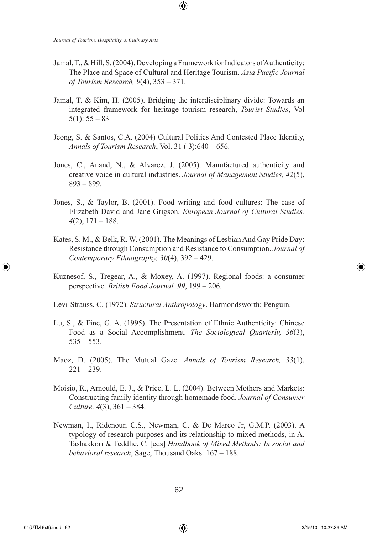Jamal, T., & Hill, S. (2004). Developing a Framework for Indicators of Authenticity: The Place and Space of Cultural and Heritage Tourism. *Asia Pacific Journal of Tourism Research, 9*(4), 353 – 371.

⊕

- Jamal, T. & Kim, H. (2005). Bridging the interdisciplinary divide: Towards an integrated framework for heritage tourism research, *Tourist Studies*, Vol  $5(1): 55 - 83$
- Jeong, S. & Santos, C.A. (2004) Cultural Politics And Contested Place Identity, *Annals of Tourism Research*, Vol. 31 ( 3):640 – 656.
- Jones, C., Anand, N., & Alvarez, J. (2005). Manufactured authenticity and creative voice in cultural industries. *Journal of Management Studies, 42*(5), 893 – 899.
- Jones, S., & Taylor, B. (2001). Food writing and food cultures: The case of Elizabeth David and Jane Grigson. *European Journal of Cultural Studies, 4*(2), 171 – 188.
- Kates, S. M., & Belk, R. W. (2001). The Meanings of Lesbian And Gay Pride Day: Resistance through Consumption and Resistance to Consumption. *Journal of Contemporary Ethnography, 30*(4), 392 – 429.
- Kuznesof, S., Tregear, A., & Moxey, A. (1997). Regional foods: a consumer perspective. *British Food Journal, 99*, 199 – 206.

Levi-Strauss, C. (1972). *Structural Anthropology*. Harmondsworth: Penguin.

- Lu, S., & Fine, G. A. (1995). The Presentation of Ethnic Authenticity: Chinese Food as a Social Accomplishment. *The Sociological Quarterly, 36*(3),  $535 - 553$ .
- Maoz, D. (2005). The Mutual Gaze. *Annals of Tourism Research, 33*(1),  $221 - 239.$
- Moisio, R., Arnould, E. J., & Price, L. L. (2004). Between Mothers and Markets: Constructing family identity through homemade food. *Journal of Consumer Culture, 4*(3), 361 – 384.
- Newman, I., Ridenour, C.S., Newman, C. & De Marco Jr, G.M.P. (2003). A typology of research purposes and its relationship to mixed methods, in A. Tashakkori & Teddlie, C. [eds] *Handbook of Mixed Methods: In social and behavioral research*, Sage, Thousand Oaks: 167 – 188.

⊕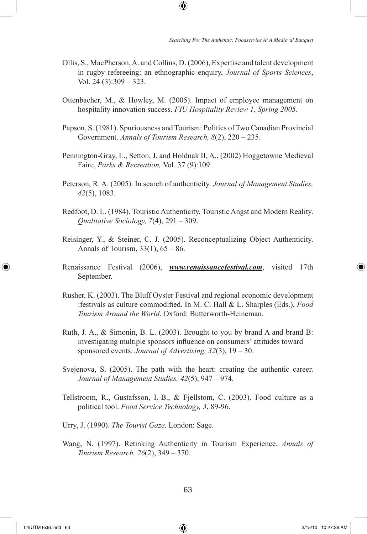Ollis, S., MacPherson, A. and Collins, D. (2006), Expertise and talent development in rugby refereeing: an ethnographic enquiry, *Journal of Sports Sciences*, Vol. 24 (3):309 – 323.

⊕

- Ottenbacher, M., & Howley, M. (2005). Impact of employee management on hospitality innovation success. *FIU Hospitality Review 1, Spring 2005*.
- Papson, S. (1981). Spuriousness and Tourism: Politics of Two Canadian Provincial Government. *Annals of Tourism Research, 8*(2), 220 – 235.
- Pennington-Gray, L., Setton, J. and Holdnak II, A., (2002) Hoggetowne Medieval Faire, *Parks & Recreation,* Vol. 37 (9):109.
- Peterson, R. A. (2005). In search of authenticity. *Journal of Management Studies, 42*(5), 1083.
- Redfoot, D. L. (1984). Touristic Authenticity, Touristic Angst and Modern Reality. *Qualitative Sociology, 7*(4), 291 – 309.
- Reisinger, Y., & Steiner, C. J. (2005). Reconceptualizing Object Authenticity. Annals of Tourism,  $33(1)$ ,  $65 - 86$ .
- Renaissance Festival (2006), *www.renaissancefestival.com*, visited 17th September.
- Rusher, K. (2003). The Bluff Oyster Festival and regional economic development :festivals as culture commodified. In M. C. Hall & L. Sharples (Eds.), *Food Tourism Around the World*. Oxford: Butterworth-Heineman.
- Ruth, J. A., & Simonin, B. L. (2003). Brought to you by brand A and brand B: investigating multiple sponsors influence on consumers' attitudes toward sponsored events. *Journal of Advertising, 32*(3), 19 – 30.
- Svejenova, S. (2005). The path with the heart: creating the authentic career. *Journal of Management Studies, 42*(5), 947 – 974.
- Tellstroom, R., Gustafsson, I.-B., & Fjellstom, C. (2003). Food culture as a political tool. *Food Service Technology, 3*, 89-96.
- Urry, J. (1990). *The Tourist Gaze*. London: Sage.
- Wang, N. (1997). Retinking Authenticity in Tourism Experience. *Annals of Tourism Research, 26*(2), 349 – 370.

⊕